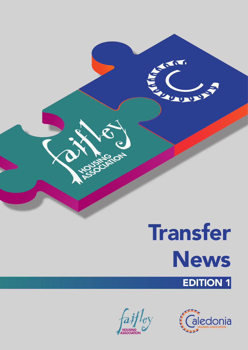

AN

**SEPTEMBER** 

SSOCIATION

**SAS** 

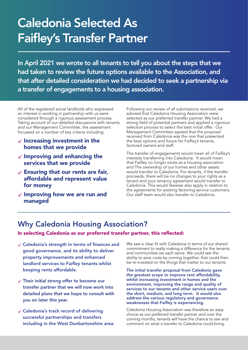# Caledonia Selected As Faifley's Transfer Partner

In April 2021 we wrote to all tenants to tell you about the steps that we had taken to review the future options available to the Association, and that after detailed consideration we had decided to seek a partnership via a transfer of engagements to a housing association.

All of the registered social landlords who expressed an interest in working in partnership with us were considered through a rigorous assessment process. Taking account of our detailed discussions with tenants and our Management Committee, the assessment focussed on a number of key criteria including:

- $\checkmark$  Increasing investment in the homes that we provide
- $\checkmark$  Improving and enhancing the services that we provide
- $\checkmark$  Ensuring that our rents are fair, affordable and represent value for money
- $\checkmark$  Improving how we are run and managed

Following our review of all submissions received, we advised that Caledonia Housing Association were selected as our preferred transfer partner. We had a strong field of potential partners and applied a rigorous selection process to select the best initial offer. Our Management Committee agreed that the proposal received from Caledonia was the one that presented the best options and future for Faifley's tenants, factored owners and staff.

The transfer of engagements would mean all of Faifley's interests transferring into Caledonia. It would mean that Faifley no longer exists as a housing association and The ownership of our homes and other assets would transfer to Caledonia. For tenants, if the transfer proceeds, there will be no changes to your rights as a tenant and your tenancy agreement would transfer to Caledonia. This would likewise also apply in relation to the agreements for existing factoring service customers. Our staff team would also transfer to Caledonia.

#### Why Caledonia Housing Association?

In selecting Caledonia as our preferred transfer partner, this reflected:

- Caledonia's strength in terms of finances and good governance, and its ability to deliver property improvements and enhanced landlord services to Faifley tenants whilst keeping rents affordable.
- Their initial strong offer to become our transfer partner that we will now work into detailed plans that we hope to consult with you on later this year.
- Caledonia's track record of delivering successful partnerships and transfers including in the West Dunbartonshire area.

We saw a clear fit with Caledonia in terms of our shared commitment to really making a difference for the tenants and communities we each serve. We could see the ability to save costs by coming together, that could then be re-invested on the things that matter to our tenants.

The initial transfer proposal from Caledonia gave the greatest scope to improve rent affordability, whilst increasing investment in homes and the environment, improving the range and quality of services to our tenants and other service users over the short, medium, and long term. It would also address the various regulatory and governance weaknesses that Faifley is experiencing.

Caledonia Housing Association was therefore an easy choice as our preferred transfer partner and over the coming months, tenants will have the chance to see and comment on what a transfer to Caledonia could bring.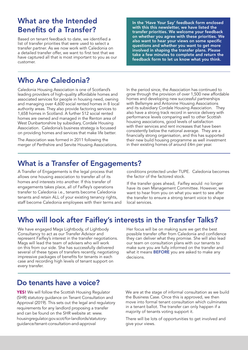## What are the Intended Benefits of a Transfer?

Based on tenant feedback to date, we identified a list of transfer priorities that were used to select a transfer partner. As we now work with Caledonia on a detailed transfer offer, we want to first test that we have captured all that is most important to you as our customer.

In the 'Have Your Say' feedback form enclosed with this this newsletter, we have listed the transfer priorities. We welcome your feedback on whether you agree with these priorities. We also want to hear your views on some specific questions and whether you want to get more involved in shaping the transfer plans. Please take a few minutes to complete and return the feedback form to let us know what you think.

## Who Are Caledonia?

Caledonia Housing Association is one of Scotland's leading providers of high-quality affordable homes and associated services for people in housing need, owning and managing over 4,600 social rented homes in 8 local authority areas. They also provide factoring services to 1,658 homes in Scotland. A further 512 social rented homes are owned and managed in the Renton area of West Dunbartonshire by subsidiary, Cordale Housing Association. Caledonia's business strategy is focussed on providing homes and services that make life better.

The Association was formed in 2011 following the merger of Perthshire and Servite Housing Associations. In the period since, the Association has continued to grow through the provision of over 1,500 new affordable homes and developing new successful partnerships with Bellsmyre and Antonine Housing Associations and its subsidiary Cordale Housing Association. They also have a strong track record in service delivery with performance levels comparing well to other Scottish housing associations, good levels of satisfaction with their services and rent increases that have been consistently below the national average. They are a financially strong organisation, and this has supported their new build housing programme as well investment in their existing homes of around £4m per year.

#### What is a Transfer of Engagements?

A Transfer of Engagements is the legal process that allows one housing association to transfer all of its homes and interests into another. If this transfer of engagements takes place, all of Faifley's operations transfer to Caledonia i.e., tenants become Caledonia tenants and retain ALL of your existing tenancy rights, staff become Caledonia employees with their terms and

conditions protected under TUPE. Caledonia becomes the factor of the factored stock.

If the transfer goes ahead, Faifley would no longer have its own Management Committee. However, we want to hear from you on what you want to see after the transfer to ensure a strong tenant voice to shape local services.

#### Who will look after Faifley's interests in the Transfer Talks?

We have engaged Mags Lightbody, of Lightbody Consultancy to act as our Transfer Advisor and represent Faifley's interest in the transfer negotiations. Mags will lead the team of advisers who will work on this from our side. She has successfully delivered several of these types of transfers recently, negotiating impressive packages of benefits for tenants in each case and recording high levels of tenant support on every transfer.

Her focus will be on making sure we get the best possible transfer offer from Caledonia and confidence they can deliver what they promise. She will also lead our team on consultation plans with our tenants to make sure you are fully informed on the transfer and what it means **BEFORE** you are asked to make any decisions.

#### Do tenants have a voice?

**YES!** We will follow the Scottish Housing Regulator (SHR) statutory guidance on Tenant Consultation and Approval (2019). This sets out the legal and regulatory requirements for any landlord proposing a transfer and can be found on the SHR website at: www. housingregulator.gov.scot/for-landlords/statutoryguidance/tenant-consultation-and-approval

We are at the stage of informal consultation as we build the Business Case. Once this is approved, we then move into formal tenant consultation which culminates in a tenant ballot. The transfer can only happen if a majority of tenants voting support it.

There will be lots of opportunities to get involved and give your views.